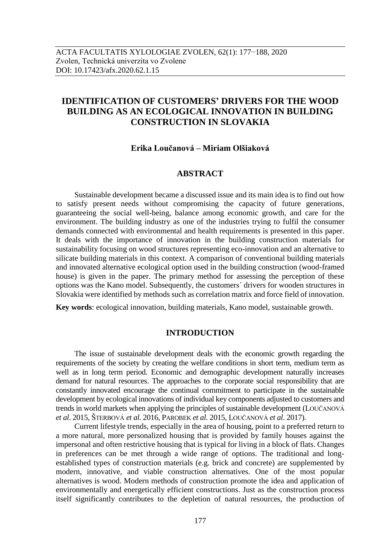# **IDENTIFICATION OF CUSTOMERS' DRIVERS FOR THE WOOD BUILDING AS AN ECOLOGICAL INNOVATION IN BUILDING CONSTRUCTION IN SLOVAKIA**

# **Erika Loučanová – Miriam Olšiaková**

# **ABSTRACT**

Sustainable development became a discussed issue and its main idea is to find out how to satisfy present needs without compromising the capacity of future generations, guaranteeing the social well-being, balance among economic growth, and care for the environment. The building industry as one of the industries trying to fulfil the consumer demands connected with environmental and health requirements is presented in this paper. It deals with the importance of innovation in the building construction materials for sustainability focusing on wood structures representing eco-innovation and an alternative to silicate building materials in this context. A comparison of conventional building materials and innovated alternative ecological option used in the building construction (wood-framed house) is given in the paper. The primary method for assessing the perception of these options was the Kano model. Subsequently, the customers´ drivers for wooden structures in Slovakia were identified by methods such as correlation matrix and force field of innovation.

**Key words**: ecological innovation, building materials, Kano model, sustainable growth.

# **INTRODUCTION**

The issue of sustainable development deals with the economic growth regarding the requirements of the society by creating the welfare conditions in short term, medium term as well as in long term period. Economic and demographic development naturally increases demand for natural resources. The approaches to the corporate social responsibility that are constantly innovated encourage the continual commitment to participate in the sustainable development by ecological innovations of individual key components adjusted to customers and trends in world markets when applying the principles of sustainable development (LOUČANOVÁ *et al*. 2015, ŠTERBOVÁ *et al*. 2016, PAROBEK *et al*. 2015, LOUČANOVÁ *et al*. 2017).

Current lifestyle trends, especially in the area of housing, point to a preferred return to a more natural, more personalized housing that is provided by family houses against the impersonal and often restrictive housing that is typical for living in a block of flats. Changes in preferences can be met through a wide range of options. The traditional and longestablished types of construction materials (e.g. brick and concrete) are supplemented by modern, innovative, and viable construction alternatives. One of the most popular alternatives is wood. Modern methods of construction promote the idea and application of environmentally and energetically efficient constructions. Just as the construction process itself significantly contributes to the depletion of natural resources, the production of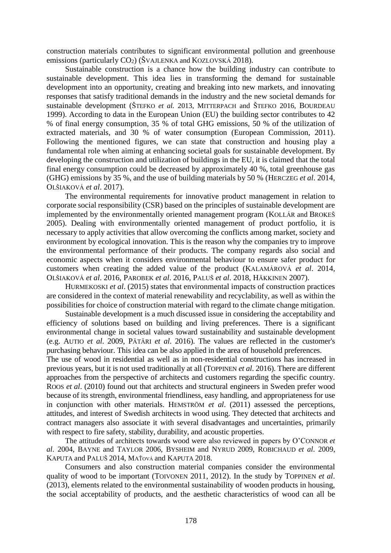construction materials contributes to significant environmental pollution and greenhouse emissions (particularly  $CO<sub>2</sub>$ ) (ŠVAJLENKA and KOZLOVSKÁ 2018).

Sustainable construction is a chance how the building industry can contribute to sustainable development. This idea lies in transforming the demand for sustainable development into an opportunity, creating and breaking into new markets, and innovating responses that satisfy traditional demands in the industry and the new societal demands for sustainable development (ŠTEFKO *et al.* 2013, MITTERPACH and ŠTEFKO 2016, BOURDEAU 1999). According to data in the European Union (EU) the building sector contributes to 42 % of final energy consumption, 35 % of total GHG emissions, 50 % of the utilization of extracted materials, and 30 % of water consumption (European Commission, 2011). Following the mentioned figures, we can state that construction and housing play a fundamental role when aiming at enhancing societal goals for sustainable development. By developing the construction and utilization of buildings in the EU, it is claimed that the total final energy consumption could be decreased by approximately 40 %, total greenhouse gas (GHG) emissions by 35 %, and the use of building materials by 50 % (HERCZEG *et al*. 2014, OLŠIAKOVÁ *et al*. 2017).

The environmental requirements for innovative product management in relation to corporate social responsibility (CSR) based on the principles of sustainable development are implemented by the environmentally oriented management program (KOLLÁR and BROKEŠ 2005). Dealing with environmentally oriented management of product portfolio, it is necessary to apply activities that allow overcoming the conflicts among market, society and environment by ecological innovation. This is the reason why the companies try to improve the environmental performance of their products. The company regards also social and economic aspects when it considers environmental behaviour to ensure safer product for customers when creating the added value of the product (KALAMÁROVÁ *et al*. 2014, OLŠIAKOVÁ *et al*. 2016, PAROBEK *et al*. 2016, PALUŠ *et al*. 2018, HÄKKINEN 2007).

HURMEKOSKI *et al*. (2015) states that environmental impacts of construction practices are considered in the context of material renewability and recyclability, as well as within the possibilities for choice of construction material with regard to the climate change mitigation.

Sustainable development is a much discussed issue in considering the acceptability and efficiency of solutions based on building and living preferences. There is a significant environmental change in societal values toward sustainability and sustainable development (e.g. AUTIO *et al*. 2009, PÄTÄRI *et al*. 2016). The values are reflected in the customer's purchasing behaviour. This idea can be also applied in the area of household preferences.

The use of wood in residential as well as in non-residential constructions has increased in previous years, but it is not used traditionally at all (TOPPINEN *et al*. 2016). There are different approaches from the perspective of architects and customers regarding the specific country. ROOS *et al*. (2010) found out that architects and structural engineers in Sweden prefer wood because of its strength, environmental friendliness, easy handling, and appropriateness for use in conjunction with other materials. HEMSTRÖM *et al*. (2011) assessed the perceptions, attitudes, and interest of Swedish architects in wood using. They detected that architects and contract managers also associate it with several disadvantages and uncertainties, primarily with respect to fire safety, stability, durability, and acoustic properties.

The attitudes of architects towards wood were also reviewed in papers by O'CONNOR *et al*. 2004, BAYNE and TAYLOR 2006, BYSHEIM and NYRUD 2009, ROBICHAUD *et al*. 2009, KAPUTA and PALUŠ 2014, MAŤOVÁ and KAPUTA 2018.

Consumers and also construction material companies consider the environmental quality of wood to be important (TOIVONEN 2011, 2012). In the study by TOPPINEN *et al*. (2013), elements related to the environmental sustainability of wooden products in housing, the social acceptability of products, and the aesthetic characteristics of wood can all be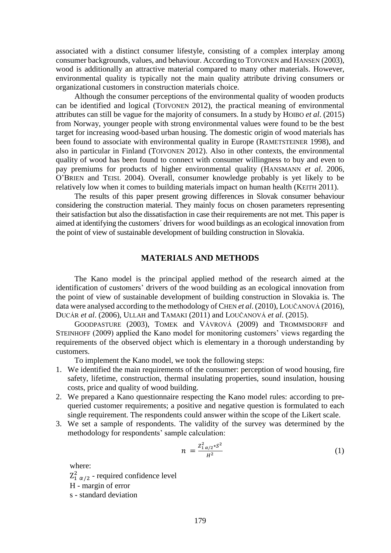associated with a distinct consumer lifestyle, consisting of a complex interplay among consumer backgrounds, values, and behaviour. According to TOIVONEN and HANSEN (2003), wood is additionally an attractive material compared to many other materials. However, environmental quality is typically not the main quality attribute driving consumers or organizational customers in construction materials choice.

Although the consumer perceptions of the environmental quality of wooden products can be identified and logical (TOIVONEN 2012), the practical meaning of environmental attributes can still be vague for the majority of consumers. In a study by HOIBO *et al*. (2015) from Norway, younger people with strong environmental values were found to be the best target for increasing wood-based urban housing. The domestic origin of wood materials has been found to associate with environmental quality in Europe (RAMETSTEINER 1998), and also in particular in Finland (TOIVONEN 2012). Also in other contexts, the environmental quality of wood has been found to connect with consumer willingness to buy and even to pay premiums for products of higher environmental quality (HANSMANN *et al*. 2006, O'BRIEN and TEISL 2004). Overall, consumer knowledge probably is yet likely to be relatively low when it comes to building materials impact on human health (KEITH 2011).

The results of this paper present growing differences in Slovak consumer behaviour considering the construction material. They mainly focus on chosen parameters representing their satisfaction but also the dissatisfaction in case their requirements are not met. This paper is aimed at identifying the customers´ drivers for wood buildings as an ecological innovation from the point of view of sustainable development of building construction in Slovakia.

# **MATERIALS AND METHODS**

The Kano model is the principal applied method of the research aimed at the identification of customers' drivers of the wood building as an ecological innovation from the point of view of sustainable development of building construction in Slovakia is. The data were analysed according to the methodology of CHEN *et al*. (2010), LOUČANOVÁ (2016), DUCÁR *et al*. (2006), ULLAH and TAMAKI (2011) and LOUČANOVÁ *et al*. (2015).

GOODPASTURE (2003), TOMEK and VÁVROVÁ (2009) and TROMMSDORFF and STEINHOFF (2009) applied the Kano model for monitoring customers' views regarding the requirements of the observed object which is elementary in a thorough understanding by customers.

To implement the Kano model, we took the following steps:

- 1. We identified the main requirements of the consumer: perception of wood housing, fire safety, lifetime, construction, thermal insulating properties, sound insulation, housing costs, price and quality of wood building.
- 2. We prepared a Kano questionnaire respecting the Kano model rules: according to prequeried customer requirements; a positive and negative question is formulated to each single requirement. The respondents could answer within the scope of the Likert scale.
- 3. We set a sample of respondents. The validity of the survey was determined by the methodology for respondents' sample calculation:

$$
n = \frac{Z_{1\alpha/2}^2 * S^2}{H^2} \tag{1}
$$

where:  $Z_{1\ \alpha/2}^{2}$  - required confidence level H - margin of error s - standard deviation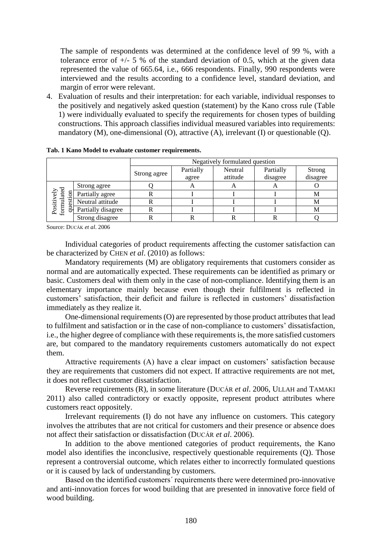The sample of respondents was determined at the confidence level of 99 %, with a tolerance error of  $+/- 5$  % of the standard deviation of 0.5, which at the given data represented the value of 665.64, i.e., 666 respondents. Finally, 990 respondents were interviewed and the results according to a confidence level, standard deviation, and margin of error were relevant.

4. Evaluation of results and their interpretation: for each variable, individual responses to the positively and negatively asked question (statement) by the Kano cross rule (Table 1) were individually evaluated to specify the requirements for chosen types of building constructions. This approach classifies individual measured variables into requirements: mandatory (M), one-dimensional (O), attractive (A), irrelevant (I) or questionable (Q).

|                                                                      |                    | Negatively formulated question |                    |                     |                       |                           |  |  |  |
|----------------------------------------------------------------------|--------------------|--------------------------------|--------------------|---------------------|-----------------------|---------------------------|--|--|--|
|                                                                      |                    | Strong agree                   | Partially<br>agree | Neutral<br>attitude | Partially<br>disagree | <b>Strong</b><br>disagree |  |  |  |
|                                                                      | Strong agree       |                                |                    | A                   | A                     |                           |  |  |  |
| Positively<br>formulated<br>$\epsilon$ ly<br>$\overline{\mathrm{m}}$ | Partially agree    |                                |                    |                     |                       |                           |  |  |  |
| esti                                                                 | Neutral attitude   | R                              |                    |                     |                       | М                         |  |  |  |
| ₹                                                                    | Partially disagree | R                              |                    |                     |                       | М                         |  |  |  |
|                                                                      | Strong disagree    |                                |                    |                     | ĸ                     |                           |  |  |  |

**Tab. 1 Kano Model to evaluate customer requirements.**

Source: DUCÁK *et al*. 2006

Individual categories of product requirements affecting the customer satisfaction can be characterized by CHEN *et al*. (2010) as follows:

Mandatory requirements (M) are obligatory requirements that customers consider as normal and are automatically expected. These requirements can be identified as primary or basic. Customers deal with them only in the case of non-compliance. Identifying them is an elementary importance mainly because even though their fulfilment is reflected in customers' satisfaction, their deficit and failure is reflected in customers' dissatisfaction immediately as they realize it.

One-dimensional requirements (O) are represented by those product attributes that lead to fulfilment and satisfaction or in the case of non-compliance to customers' dissatisfaction, i.e., the higher degree of compliance with these requirements is, the more satisfied customers are, but compared to the mandatory requirements customers automatically do not expect them.

Attractive requirements (A) have a clear impact on customers' satisfaction because they are requirements that customers did not expect. If attractive requirements are not met, it does not reflect customer dissatisfaction.

Reverse requirements (R), in some literature (DUCÁR *et al*. 2006, ULLAH and TAMAKI 2011) also called contradictory or exactly opposite, represent product attributes where customers react oppositely.

Irrelevant requirements (I) do not have any influence on customers. This category involves the attributes that are not critical for customers and their presence or absence does not affect their satisfaction or dissatisfaction (DUCÁR *et al*. 2006).

In addition to the above mentioned categories of product requirements, the Kano model also identifies the inconclusive, respectively questionable requirements (Q). Those represent a controversial outcome, which relates either to incorrectly formulated questions or it is caused by lack of understanding by customers.

Based on the identified customers´ requirements there were determined pro-innovative and anti-innovation forces for wood building that are presented in innovative force field of wood building.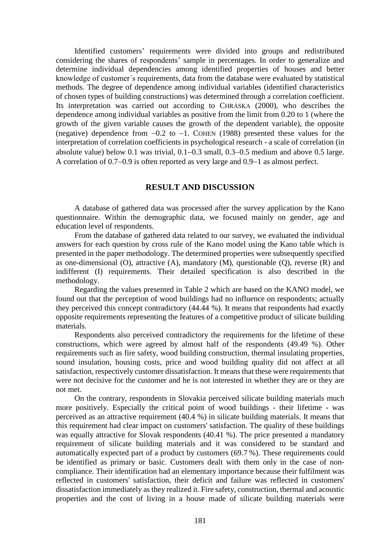Identified customers' requirements were divided into groups and redistributed considering the shares of respondents' sample in percentages. In order to generalize and determine individual dependencies among identified properties of houses and better knowledge of customer´s requirements, data from the database were evaluated by statistical methods. The degree of dependence among individual variables (identified characteristics of chosen types of building constructions) was determined through a correlation coefficient. Its interpretation was carried out according to CHRÁSKA (2000), who describes the dependence among individual variables as positive from the limit from 0.20 to 1 (where the growth of the given variable causes the growth of the dependent variable), the opposite (negative) dependence from  $-0.2$  to  $-1$ . COHEN (1988) presented these values for the interpretation of correlation coefficients in psychological research - a scale of correlation (in absolute value) below  $0.1$  was trivial,  $0.1-0.3$  small,  $0.3-0.5$  medium and above  $0.5$  large. A correlation of  $0.7-0.9$  is often reported as very large and  $0.9-1$  as almost perfect.

### **RESULT AND DISCUSSION**

A database of gathered data was processed after the survey application by the Kano questionnaire. Within the demographic data, we focused mainly on gender, age and education level of respondents.

From the database of gathered data related to our survey, we evaluated the individual answers for each question by cross rule of the Kano model using the Kano table which is presented in the paper methodology. The determined properties were subsequently specified as one-dimensional (O), attractive (A), mandatory (M), questionable (Q), reverse (R) and indifferent (I) requirements. Their detailed specification is also described in the methodology.

Regarding the values presented in Table 2 which are based on the KANO model, we found out that the perception of wood buildings had no influence on respondents; actually they perceived this concept contradictory (44.44 %). It means that respondents had exactly opposite requirements representing the features of a competitive product of silicate building materials.

Respondents also perceived contradictory the requirements for the lifetime of these constructions, which were agreed by almost half of the respondents (49.49 %). Other requirements such as fire safety, wood building construction, thermal insulating properties, sound insulation, housing costs, price and wood building quality did not affect at all satisfaction, respectively customer dissatisfaction. It means that these were requirements that were not decisive for the customer and he is not interested in whether they are or they are not met.

On the contrary, respondents in Slovakia perceived silicate building materials much more positively. Especially the critical point of wood buildings - their lifetime - was perceived as an attractive requirement (40.4 %) in silicate building materials. It means that this requirement had clear impact on customers' satisfaction. The quality of these buildings was equally attractive for Slovak respondents (40.41 %). The price presented a mandatory requirement of silicate building materials and it was considered to be standard and automatically expected part of a product by customers (69.7 %). These requirements could be identified as primary or basic. Customers dealt with them only in the case of noncompliance. Their identification had an elementary importance because their fulfilment was reflected in customers' satisfaction, their deficit and failure was reflected in customers' dissatisfaction immediately as they realized it. Fire safety, construction, thermal and acoustic properties and the cost of living in a house made of silicate building materials were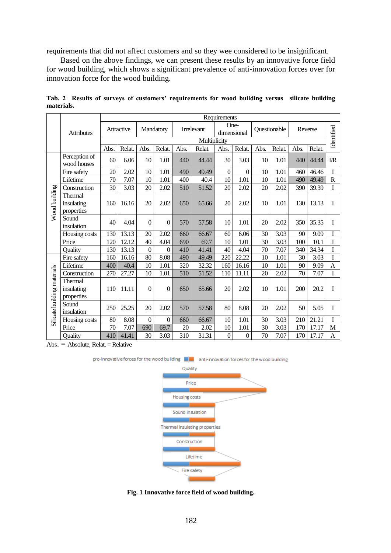requirements that did not affect customers and so they wee considered to be insignificant.

Based on the above findings, we can present these results by an innovative force field for wood building, which shows a significant prevalence of anti-innovation forces over for innovation force for the wood building.

|                             |                                     | Requirements |            |                  |                  |      |              |                |                     |      |              |      |         |                 |
|-----------------------------|-------------------------------------|--------------|------------|------------------|------------------|------|--------------|----------------|---------------------|------|--------------|------|---------|-----------------|
|                             | <b>Attributes</b>                   |              | Attractive |                  | Mandatory        |      | Irrelevant   |                | One-<br>dimensional |      | Questionable |      | Reverse | Identified      |
|                             |                                     |              |            |                  |                  |      | Multiplicity |                |                     |      |              |      |         |                 |
|                             |                                     | Abs.         | Relat.     | Abs.             | Relat.           | Abs. | Relat.       | Abs.           | Relat.              | Abs. | Relat.       | Abs. | Relat.  |                 |
|                             | Perception of<br>wood houses        | 60           | 6.06       | 10               | 1.01             | 440  | 44.44        | 30             | 3.03                | 10   | 1.01         | 440  | 44.44   | $\overline{LR}$ |
|                             | Fire safety                         | 20           | 2.02       | 10               | 1.01             | 490  | 49.49        | $\overline{0}$ | $\theta$            | 10   | 1.01         | 460  | 46.46   | $\mathbf I$     |
|                             | Lifetime                            | 70           | 7.07       | 10               | 1.01             | 400  | 40.4         | 10             | 1.01                | 10   | 1.01         | 490  | 49.49   | $\overline{R}$  |
|                             | Construction                        | 30           | 3.03       | 20               | 2.02             | 510  | 51.52        | 20             | 2.02                | 20   | 2.02         | 390  | 39.39   | I               |
| Wood building               | Thermal<br>insulating<br>properties | 160          | 16.16      | 20               | 2.02             | 650  | 65.66        | 20             | 2.02                | 10   | 1.01         | 130  | 13.13   | I               |
|                             | Sound<br>insulation                 | 40           | 4.04       | $\boldsymbol{0}$ | $\boldsymbol{0}$ | 570  | 57.58        | 10             | 1.01                | 20   | 2.02         | 350  | 35.35   | I               |
|                             | Housing costs                       | 130          | 13.13      | 20               | 2.02             | 660  | 66.67        | 60             | 6.06                | 30   | 3.03         | 90   | 9.09    | I               |
|                             | Price                               | 120          | 12.12      | 40               | 4.04             | 690  | 69.7         | 10             | 1.01                | 30   | 3.03         | 100  | 10.1    | I               |
|                             | Ouality                             | 130          | 13.13      | $\boldsymbol{0}$ | $\boldsymbol{0}$ | 410  | 41.41        | 40             | 4.04                | 70   | 7.07         | 340  | 34.34   | I               |
|                             | Fire safety                         | 160          | 16.16      | 80               | 8.08             | 490  | 49.49        | 220            | 22.22               | 10   | 1.01         | 30   | 3.03    | I               |
|                             | Lifetime                            | 400          | 40.4       | $10\,$           | 1.01             | 320  | 32.32        | 160            | 16.16               | 10   | 1.01         | 90   | 9.09    | A               |
|                             | Construction                        | 270          | 27.27      | 10               | 1.01             | 510  | 51.52        | 110            | 11.11               | 20   | 2.02         | 70   | 7.07    | I               |
| Silicate building materials | Thermal<br>insulating<br>properties | 110          | 11.11      | $\mathbf{0}$     | $\theta$         | 650  | 65.66        | 20             | 2.02                | 10   | 1.01         | 200  | 20.2    | I               |
|                             | Sound<br>insulation                 | 250          | 25.25      | 20               | 2.02             | 570  | 57.58        | 80             | 8.08                | 20   | 2.02         | 50   | 5.05    | I               |
|                             | Housing costs                       | 80           | 8.08       | $\boldsymbol{0}$ | $\boldsymbol{0}$ | 660  | 66.67        | 10             | 1.01                | 30   | 3.03         | 210  | 21.21   | I               |
|                             | Price                               | 70           | 7.07       | 690              | 69.7             | 20   | 2.02         | 10             | 1.01                | 30   | 3.03         | 170  | 17.17   | M               |
|                             | Ouality                             | 410          | 41.41      | 30               | 3.03             | 310  | 31.31        | $\overline{0}$ | $\boldsymbol{0}$    | 70   | 7.07         | 170  | 17.17   | A               |

**Tab. 2 Results of surveys of customers' requirements for wood building versus silicate building materials.**

 $Abs. = Absolute, Relat. = Relative$ 



pro-innovative forces for the wood building **Time** anti-innovation forces for the wood building

**Fig. 1 Innovative force field of wood building.**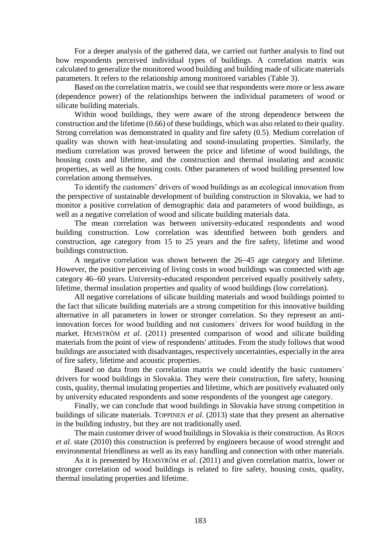For a deeper analysis of the gathered data, we carried out further analysis to find out how respondents perceived individual types of buildings. A correlation matrix was calculated to generalize the monitored wood building and building made of silicate materials parameters. It refers to the relationship among monitored variables (Table 3).

Based on the correlation matrix, we could see that respondents were more or less aware (dependence power) of the relationships between the individual parameters of wood or silicate building materials.

Within wood buildings, they were aware of the strong dependence between the construction and the lifetime (0.66) of these buildings, which was also related to their quality. Strong correlation was demonstrated in quality and fire safety (0.5). Medium correlation of quality was shown with heat-insulating and sound-insulating properties. Similarly, the medium correlation was proved between the price and lifetime of wood buildings, the housing costs and lifetime, and the construction and thermal insulating and acoustic properties, as well as the housing costs. Other parameters of wood building presented low correlation among themselves.

To identify the customers' drivers of wood buildings as an ecological innovation from the perspective of sustainable development of building construction in Slovakia, we had to monitor a positive correlation of demographic data and parameters of wood buildings, as well as a negative correlation of wood and silicate building materials data.

The mean correlation was between university-educated respondents and wood building construction. Low correlation was identified between both genders and construction, age category from 15 to 25 years and the fire safety, lifetime and wood buildings construction.

A negative correlation was shown between the 26–45 age category and lifetime. However, the positive perceiving of living costs in wood buildings was connected with age category 46–60 years. University-educated respondent perceived equally positively safety, lifetime, thermal insulation properties and quality of wood buildings (low correlation).

All negative correlations of silicate building materials and wood buildings pointed to the fact that silicate building materials are a strong competition for this innovative building alternative in all parameters in lower or stronger correlation. So they represent an antiinnovation forces for wood building and not customers´ drivers for wood building in the market. HEMSTRÖM *et al*. (2011) presented comparison of wood and silicate building materials from the point of view of respondents' attitudes. From the study follows that wood buildings are associated with disadvantages, respectively uncertainties, especially in the area of fire safety, lifetime and acoustic properties.

Based on data from the correlation matrix we could identify the basic customers´ drivers for wood buildings in Slovakia. They were their construction, fire safety, housing costs, quality, thermal insulating properties and lifetime, which are positively evaluated only by university educated respondents and some respondents of the youngest age category.

Finally, we can conclude that wood buildings in Slovakia have strong competition in buildings of silicate materials. TOPPINEN *et al*. (2013) state that they present an alternative in the building industry, but they are not traditionally used.

The main customer driver of wood buildings in Slovakia is their construction. As ROOS *et al*. state (2010) this construction is preferred by engineers because of wood strenght and environmental friendliness as well as its easy handling and connection with other materials.

As it is presented by HEMSTRÖM *et al*. (2011) and given correlation matrix, lower or stronger correlation od wood buildings is related to fire safety, housing costs, quality, thermal insulating properties and lifetime.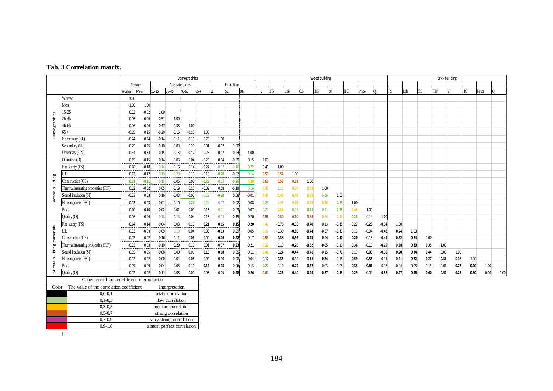#### **Tab. 3 Correlation matrix.**

|                   | Tab. 3 Correlation matrix.          |              |         |           |                |         |         |         |               |           |         |         |         |                |         |           |                       |         |         |    |      |           |      |                  |      |      |       |      |
|-------------------|-------------------------------------|--------------|---------|-----------|----------------|---------|---------|---------|---------------|-----------|---------|---------|---------|----------------|---------|-----------|-----------------------|---------|---------|----|------|-----------|------|------------------|------|------|-------|------|
|                   |                                     | Demographics |         |           |                |         |         |         | Wood building |           |         |         |         |                |         |           | <b>Brick building</b> |         |         |    |      |           |      |                  |      |      |       |      |
|                   |                                     | Gender       |         |           | Age categories |         |         |         | Education     |           |         |         |         |                |         |           |                       |         |         |    |      |           |      |                  |      |      |       |      |
|                   |                                     | Woman        | Men     | $15 - 25$ | 26-45          | 46-65   | $65 +$  |         | lse           | <b>UN</b> | D       | FS      | Life    | $\mathbb{C}$ S | TIP     | <b>SI</b> | HC                    | Price   |         | FS | Life | <b>CS</b> |      | TIP<br><b>SI</b> |      | НC   | Price |      |
|                   | Woman                               | 1.00         |         |           |                |         |         |         |               |           |         |         |         |                |         |           |                       |         |         |    |      |           |      |                  |      |      |       |      |
|                   | Men                                 | $-1.00$      | 1.00    |           |                |         |         |         |               |           |         |         |         |                |         |           |                       |         |         |    |      |           |      |                  |      |      |       |      |
|                   | $15 - 25$                           | 0.02         | $-0.02$ | 1.00      |                |         |         |         |               |           |         |         |         |                |         |           |                       |         |         |    |      |           |      |                  |      |      |       |      |
| Demographics      | 26-45                               | 0.06         | $-0.06$ | $-0.51$   | 1.00           |         |         |         |               |           |         |         |         |                |         |           |                       |         |         |    |      |           |      |                  |      |      |       |      |
|                   | 46-65                               | 0.06         | $-0.06$ | $-0.47$   | $-0.38$        | 1.00    |         |         |               |           |         |         |         |                |         |           |                       |         |         |    |      |           |      |                  |      |      |       |      |
|                   | $65+$                               | $-0.25$      | 0.25    | $-0.20$   | $-0.16$        | $-0.15$ | 1.00    |         |               |           |         |         |         |                |         |           |                       |         |         |    |      |           |      |                  |      |      |       |      |
|                   | Elementary (EL)                     | $-0.24$      | 0.24    | $-0.14$   | $-0.11$        | $-0.11$ | 0.70    | 1.00    |               |           |         |         |         |                |         |           |                       |         |         |    |      |           |      |                  |      |      |       |      |
|                   | Secondary (SE)                      | $-0.25$      | 0.25    | $-0.10$   | $-0.09$        | 0.20    | 0.01    | $-0.17$ | 1.00          |           |         |         |         |                |         |           |                       |         |         |    |      |           |      |                  |      |      |       |      |
|                   | University (UN)                     | 0.34         | $-0.34$ | 0.15      | 0.13           | $-0.17$ | $-0.25$ | $-0.17$ | $-0.94$       | 1.00      |         |         |         |                |         |           |                       |         |         |    |      |           |      |                  |      |      |       |      |
|                   | Definition (D)                      | 0.15         | $-0.15$ | 0.14      | $-0.06$        | 0.04    | $-0.25$ | 0.04    | $-0.09$       | 0.15      | 1.00    |         |         |                |         |           |                       |         |         |    |      |           |      |                  |      |      |       |      |
|                   | Fire safety (FS)                    | 0.18         | $-0.18$ | 0.14      | $-0.16$        | 0.14    | $-0.24$ | $-0.17$ | $-0.16$       | 0.22      | 0.41    | 1.00    |         |                |         |           |                       |         |         |    |      |           |      |                  |      |      |       |      |
|                   | Life                                | 0.12         | $-0.12$ | 0.19      | $-0.20$        | 0.10    | $-0.19$ | $-0.20$ | $-0.07$       | 0.14      | 0.50    | 0.54    | 1.00    |                |         |           |                       |         |         |    |      |           |      |                  |      |      |       |      |
|                   | Construction (CS)                   | 0.21         | $-0.21$ | 0.15      | $-0.06$        | 0.03    | $-0.23$ | $-0.13$ | $-0.26$       | 0.30      | 0.66    | 0.53    | 0.61    | 1.00           |         |           |                       |         |         |    |      |           |      |                  |      |      |       |      |
|                   | Thermal insulating properties (TIP) | 0.02         | $-0.02$ | 0.05      | $-0.19$        | 0.15    | $-0.02$ | 0.08    | $-0.19$       | 0.16      | 0.42    | 0.16    | 0.34    | 0.42           | 1.00    |           |                       |         |         |    |      |           |      |                  |      |      |       |      |
| Wood building     | Sound insulation (SI)               | $-0.03$      | 0.03    | 0.16      | $-0.03$        | $-0.03$ | $-0.22$ | $-0.20$ | 0.08          | $-0.01$   | 0.43    | 0.40    | 0.49    | 0.38           | 0.16    | 1.00      |                       |         |         |    |      |           |      |                  |      |      |       |      |
|                   | Housing costs (HC)                  | 0.03         | $-0.03$ | 0.01      | $-0.10$        | 0.20    | $-0.20$ | $-0.17$ | $-0.02$       | 0.08      | 0.26    | 0.47    | 0.32    | 0.34           | 0.36    | 0.25      | 1.00                  |         |         |    |      |           |      |                  |      |      |       |      |
|                   | Price                               | 0.10         | $-0.10$ | $-0.02$   | 0.01           | 0.09    | $-0.15$ | $-0.11$ | $-0.03$       | 0.07      | 0.29    | 0.36    | 0.18    | 0.21           | 0.11    | 0.25      | 0.46                  | 1.00    |         |    |      |           |      |                  |      |      |       |      |
|                   | Quality (Q)                         | 0.06         | $-0.06$ | 0.18      | $-0.14$        | 0.04    | $-0.15$ | $-0.13$ | $-0.15$       | 0.20      | 0.56    | 0.50    | 0.60    | 0.65           | 0.34    | 0.34      | 0.28                  | 0.19    | 1.00    |    |      |           |      |                  |      |      |       |      |
|                   | Fire safety (FS)                    | $-0.14$      | 0.14    | $-0.04$   | 0.03           | $-0.10$ | 0.21    | 0.15    | 0.15          | $-0.20$   | $-0.43$ | $-0.76$ | $-0.33$ | $-0.40$        | $-0.13$ | $-0.35$   | $-0.27$               | $-0.28$ | $-0.34$ |    | 1.00 |           |      |                  |      |      |       |      |
|                   | Life                                | 0.03         | $-0.03$ | $-0.09$   | 0.19           | $-0.04$ | $-0.09$ | $-0.13$ | 0.09          | $-0.05$   | $-0.37$ | $-0.39$ | $-0.85$ | $-0.44$        | $-0.37$ | $-0.33$   | $-0.13$               | $-0.04$ | $-0.48$ |    | 0.24 | 1.00      |      |                  |      |      |       |      |
| materials         | Construction (CS)                   | $-0.02$      | 0.02    | $-0.16$   | 0.11           | 0.06    | 0.00    | $-0.16$ | 0.22          | $-0.17$   | $-0.53$ | $-0.38$ | $-0.56$ | $-0.73$        | $-0.44$ | $-0.40$   | $-0.20$               | $-0.18$ | $-0.44$ |    | 0.32 | 0.64      | 1.00 |                  |      |      |       |      |
|                   | Thermal insulating properties (TIP) | $-0.03$      | 0.03    | $-0.10$   | 0.20           | $-0.10$ | 0.01    | $-0.07$ | 0.23          | $-0.21$   | $-0.32$ | $-0.19$ | $-0.26$ | $-0.32$        | $-0.85$ | $-0.10$   | $-0.36$               | $-0.10$ | $-0.29$ |    | 0.18 | 0.30      | 0.35 | 1.00             |      |      |       |      |
|                   | Sound insulation (SI)               | $-0.05$      | 0.05    | $-0.08$   | 0.00           | $-0.01$ | 0.18    | 0.18    | 0.05          | $-0.11$   | $-0.40$ | $-0.24$ | $-0.44$ | $-0.41$        | $-0.15$ | $-0.71$   | $-0.17$               | 0.05    | $-0.30$ |    | 0.20 | 0.34      | 0.44 | 0.03             | 1.00 |      |       |      |
|                   | Housing costs (HC)                  | $-0.02$      | 0.02    | 0.00      | 0.04           | $-0.06$ | 0.04    | $-0.10$ | 0.08          | $-0.04$   | $-0.17$ | $-0.35$ | $-0.14$ | $-0.15$        | $-0.34$ | $-0.15$   | $-0.59$               | $-0.36$ | $-0.15$ |    | 0.11 | 0.22      | 0.27 | 0.31             | 0.08 | 1.00 |       |      |
| Silicate building | Price                               | $-0.09$      | 0.09    | 0.04      | $-0.05$        | $-0.10$ | 0.19    | 0.18    | 0.06          | $-0.13$   | $-0.22$ | $-0.19$ | $-0.22$ | $-0.22$        | $-0.03$ | $-0.08$   | $-0.33$               | $-0.61$ | $-0.12$ |    | 0.04 | 0.08      | 0.13 | $-0.01$          | 0.27 | 0.20 | 1.00  |      |
|                   | Quality (Q)                         | $-0.02$      | 0.02    | $-0.11$   | 0.08           | 0.01    | 0.05    | $-0.05$ | 0.28          | $-0.26$   | $-0.61$ | -0.25   | $-0.44$ | $-0.49$        | $-0.57$ | $-0.33$   | $-0.29$               | $-0.09$ | $-0.52$ |    | 0.27 | 0.46      | 0.60 | 0.52             | 0.28 | 0.30 | 0.00  | 1.00 |

|       | Cohen correlation coefficient interpretation |                            |  |  |  |  |  |  |  |  |  |
|-------|----------------------------------------------|----------------------------|--|--|--|--|--|--|--|--|--|
| Color | The value of the correlation coefficient     | Interpretation             |  |  |  |  |  |  |  |  |  |
|       | $0.0 - 0.1$                                  | trivial correlation        |  |  |  |  |  |  |  |  |  |
|       | $0.1 - 0.3$                                  | low correlation            |  |  |  |  |  |  |  |  |  |
|       | $0.3 - 0.5$                                  | medium correlation         |  |  |  |  |  |  |  |  |  |
|       | $0.5 - 0.7$                                  | strong correlation         |  |  |  |  |  |  |  |  |  |
|       | $0.7 - 0.9$                                  | very strong correlation    |  |  |  |  |  |  |  |  |  |
|       | $0.9 - 1.0$                                  | almost perfect correlation |  |  |  |  |  |  |  |  |  |

+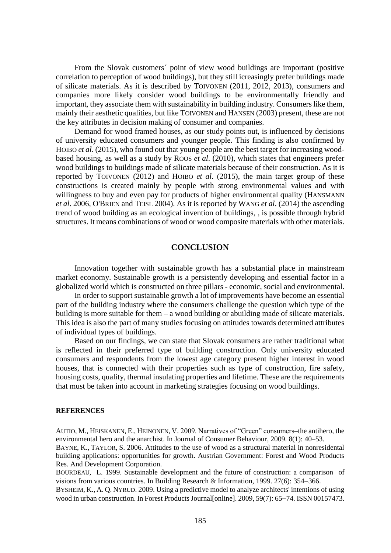From the Slovak customers´ point of view wood buildings are important (positive correlation to perception of wood buildings), but they still icreasingly prefer buildings made of silicate materials. As it is described by TOIVONEN (2011, 2012, 2013), consumers and companies more likely consider wood buildings to be environmentally friendly and important, they associate them with sustainability in building industry. Consumers like them, mainly their aesthetic qualities, but like TOIVONEN and HANSEN (2003) present, these are not the key attributes in decision making of consumer and companies.

Demand for wood framed houses, as our study points out, is influenced by decisions of university educated consumers and younger people. This finding is also confirmed by HOIBO *et al*. (2015), who found out that young people are the best target for increasing woodbased housing, as well as a study by ROOS *et al*. (2010), which states that engineers prefer wood buildings to buildings made of silicate materials because of their construction. As it is reported by TOIVONEN (2012) and HOIBO *et al*. (2015), the main target group of these constructions is created mainly by people with strong environmental values and with willingness to buy and even pay for products of higher environmental quality (HANSMANN *et al*. 2006, O'BRIEN and TEISL 2004). As it is reported by WANG *et al*. (2014) the ascending trend of wood building as an ecological invention of buildings, , is possible through hybrid structures. It means combinations of wood or wood composite materials with other materials.

# **CONCLUSION**

Innovation together with sustainable growth has a substantial place in mainstream market economy. Sustainable growth is a persistently developing and essential factor in a globalized world which is constructed on three pillars - economic, social and environmental.

In order to support sustainable growth a lot of improvements have become an essential part of the building industry where the consumers challenge the question which type of the building is more suitable for them – a wood building or abuilding made of silicate materials. This idea is also the part of many studies focusing on attitudes towards determined attributes of individual types of buildings.

Based on our findings, we can state that Slovak consumers are rather traditional what is reflected in their preferred type of building construction. Only university educated consumers and respondents from the lowest age category present higher interest in wood houses, that is connected with their properties such as type of construction, fire safety, housing costs, quality, thermal insulating properties and lifetime. These are the requirements that must be taken into account in marketing strategies focusing on wood buildings.

#### **REFERENCES**

AUTIO, M., HEISKANEN, E., HEINONEN, V. 2009. Narratives of "Green" consumers–the antihero, the environmental hero and the anarchist. In Journal of Consumer Behaviour, 2009. 8(1): 40–53. BAYNE, K., TAYLOR, S. 2006. Attitudes to the use of wood as a structural material in nonresidental building applications: opportunities for growth. Austrian Government: Forest and Wood Products Res. And Development Corporation.

B[OURDEAU](https://www.sciencedirect.com/science/article/pii/S1104689916300952#bbib0025), L. 1999. Sustainable development and the future of construction: a comparison of visions from various countries. In Building Research & Information, 1999.  $27(6)$ : 354–366.

BYSHEIM, K., A. Q. NYRUD. 2009. Using a predictive model to analyze architects' intentions of using wood in urban construction. In Forest Products Journal[online]. 2009, 59(7): 65–74. ISSN 00157473.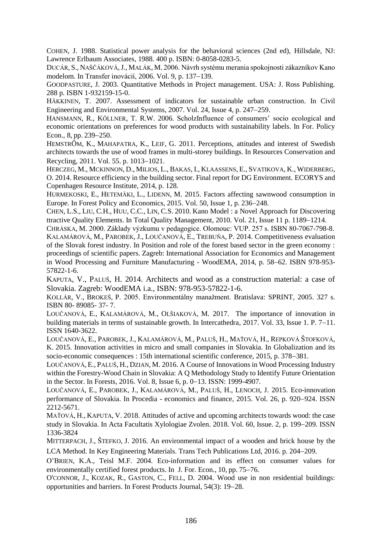COHEN, J. 1988. Statistical power analysis for the behavioral sciences (2nd ed), Hillsdale, NJ: Lawrence Erlbaum Associates, 1988. 400 p. ISBN: 0-8058-0283-5.

DUCÁR, S., NAŠČÁKOVÁ,J., MALÁK, M. 2006. Návrh systému merania spokojnosti zákazníkov Kano modelom. In Transfer inovácií, 2006. Vol. 9, p. 137–139.

GOODPASTURE, J. 2003. Quantitative Methods in Project management. USA: J. Ross Publishing. 288 p. ISBN 1-932159-15-0.

HÄKKINEN[, T. 2007.](https://www.sciencedirect.com/science/article/pii/S1104689916300952#bbib0055) Assessment of indicators for sustainable urban construction. In [Civil](https://cris.vtt.fi/en/publications/assessment-of-indicators-for-sustainable-urban-construction)  [Engineering and Environmental Systems,](https://cris.vtt.fi/en/publications/assessment-of-indicators-for-sustainable-urban-construction) 2007, Vol. 24, Issue 4, p. 247–259.

HANSMANN, R., KÖLLNER, T. R.W. 2006. ScholzInfluence of consumers' socio ecological and economic orientations on preferences for wood products with sustainability labels. In For. Policy Econ., 8, pp. 239–250.

HEMSTRӦM, K., MAHAPATRA, K., LEIF, G. 2011. Perceptions, attitudes and interest of Swedish architects towards the use of wood frames in multi-storey buildings. In Resources Conservation and Recycling, 2011. Vol. 55. p. 1013-1021.

HERCZEG, M., MCKINNON, D., MILIOS, L., BAKAS, I., KLAASSENS, E., SVATIKOVA, K., WIDERBERG, O. 2014. Resource efficiency in the building sector. Final report for DG Environment. ECORYS and Copenhagen Resource Institute, 2014, p. 128.

HURMEKOSKI, E., HETEMÄKI, L., LIDENN, M. 2015. Factors affecting sawnwood consumption in Europe. In Forest Policy and Economics, 2015. Vol. 50, Issue 1, p. 236–248.

CHEN, L.S., LIU, C.H., HUU, C.C., LIN, C.S. 2010. Kano Model : a Novel Approach for Discovering ttractive Quality Elements. In Total Quality Management, 2010. Vol. 21, Issue 11 p. 1189–1214.

CHRÁSKA, M. 2000. Základy výzkumu v pedagogice. Olomouc: VUP. 257 s. ISBN 80-7067-798-8. KALAMÁROVÁ, M., PAROBEK, J., LOUČANOVÁ, E., TREBUŇA, P. 2014. Competitiveness evaluation of the Slovak forest industry. In Position and role of the forest based sector in the green economy : proceedings of scientific papers. Zagreb: International Association for Economics and Management in Wood Processing and Furniture Manufacturing - WoodEMA, 2014, p. 58–62. ISBN 978-953-57822-1-6.

KAPUTA, V., PALUŠ, H. 2014. Architects and wood as a construction material: a case of Slovakia. Zagreb: WoodEMA i.a., ISBN: 978-953-57822-1-6.

KOLLÁR, V., BROKEŠ, P. 2005. Environmentálny manažment. Bratislava: SPRINT, 2005. 327 s. ISBN 80- 89085- 37- 7.

LOUČANOVÁ, E., KALAMÁROVÁ, M., OLŠIAKOVÁ, M. 2017. The importance of innovation in building materials in terms of sustainable growth. In Intercathedra, 2017. Vol. 33, Issue 1. P.  $7-11$ . ISSN 1640-3622.

LOUČANOVÁ, E., PAROBEK, J., KALAMÁROVÁ, M., PALUŠ, H., MAŤOVÁ, H., REPKOVÁ ŠTOFKOVÁ, K. 2015. Innovation activities in micro and small companies in Slovakia. In Globalization and its socio-economic consequences : 15th international scientific conference,  $2015$ , p.  $378-381$ .

LOUČANOVÁ, E., PALUŠ, H., DZIAN, M. 2016. A Course of Innovations in Wood Processing Industry within the Forestry-Wood Chain in Slovakia: A Q Methodology Study to Identify Future Orientation in the Sector. In Forests, 2016. Vol. 8, Issue 6, p. 0–13. ISSN: 1999-4907.

LOUČANOVÁ, E., PAROBEK, J., KALAMÁROVÁ, M., PALUŠ, H., LENOCH, J. 2015. Eco-innovation performance of Slovakia. In Procedia - economics and finance, 2015. Vol. 26, p. 920–924. ISSN 2212-5671.

MAŤOVÁ, H., KAPUTA, V. 2018. Attitudes of active and upcoming architects towards wood: the case study in Slovakia. In Acta Facultatis Xylologiae Zvolen. 2018. Vol. 60, Issue. 2, p. 199–209. ISSN 1336-3824

MITTERPACH, J., ŠTEFKO, J. 2016. An environmental impact of a wooden and brick house by the LCA Method. In Key Engineering Materials. Trans Tech Publications Ltd, 2016. p. 204–209.

O'BRIEN, K.A., Teisl M.F. 2004. Eco-information and its effect on consumer values for environmentally certified forest products. In J. For. Econ.,  $10$ , pp.  $75-76$ .

O'CONNOR, J., KOZAK, R., GASTON, C., FELL, D. 2004. Wood use in non residential buildings: opportunities and barriers. In Forest Products Journal, 54(3): 19–28.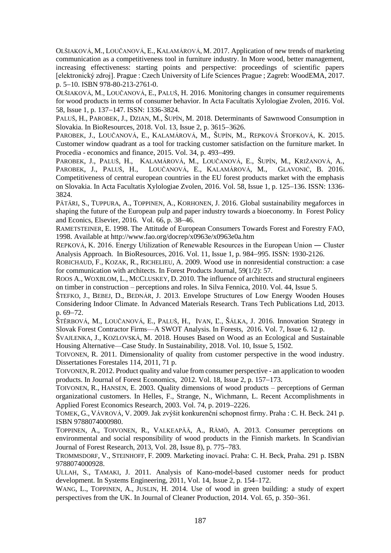OLŠIAKOVÁ, M., LOUČANOVÁ, E., KALAMÁROVÁ, M. 2017. Application of new trends of marketing communication as a competitiveness tool in furniture industry. In More wood, better management, increasing effectiveness: starting points and perspective: proceedings of scientific papers [elektronický zdroj]. Prague : Czech University of Life Sciences Prague ; Zagreb: WoodEMA, 2017. p. 5-10. ISBN 978-80-213-2761-0.

OLŠIAKOVÁ, M., LOUČANOVÁ, E., PALUŠ, H. 2016. Monitoring changes in consumer requirements for wood products in terms of consumer behavior. In Acta Facultatis Xylologiae Zvolen, 2016. Vol. 58, Issue 1, p. 137–147, ISSN: 1336-3824.

PALUŠ, H., PAROBEK, J., DZIAN, M., ŠUPÍN, M. 2018. Determinants of Sawnwood Consumption in Slovakia. In BioResources, 2018. Vol. 13, Issue 2, p. 3615–3626.

PAROBEK, J., LOUČANOVÁ, E., KALAMÁROVÁ, M., ŠUPÍN, M., REPKOVÁ ŠTOFKOVÁ, K. 2015. Customer window quadrant as a tool for tracking customer satisfaction on the furniture market. In Procedia - economics and finance, 2015. Vol. 34, p. 493–499.

PAROBEK, J., PALUŠ, H., KALAMÁROVÁ, M., LOUČANOVÁ, E., ŠUPÍN, M., KRIŽANOVÁ, A., PAROBEK, J., PALUŠ, H., LOUČANOVÁ, E., KALAMÁROVÁ, M., GLAVONIĆ, B. 2016. Competitiveness of central european countries in the EU forest products market with the emphasis on Slovakia. In Acta Facultatis Xylologiae Zvolen, 2016. Vol. 58, Issue 1, p. 125–136, ISSN: 1336-3824.

PÄTÄRI, S., TUPPURA, A., TOPPINEN, A., KORHONEN, J. 2016. Global sustainability megaforces in shaping the future of the European pulp and paper industry towards a bioeconomy. In Forest Policy and Econics, Elsevier,  $2016$ . Vol. 66, p. 38–46.

RAMETSTEINER, E. 1998. The Attitude of European Consumers Towards Forest and Forestry FAO, 1998. Available a[t http://www.fao.org/docrep/x0963e/x0963e0a.htm](http://www.fao.org/docrep/x0963e/x0963e0a.htm)

REPKOVÁ, K. 2016. Energy Utilization of Renewable Resources in the European Union ― Cluster Analysis Approach. In BioResources, 2016. Vol. 11, Issue 1, p. 984–995. ISSN: 1930-2126.

ROBICHAUD, F., KOZAK, R., RICHELIEU, A. 2009. Wood use in nonresidential construction: a case for communication with architects. In Forest Products Journal, 59(1/2): 57.

R[OOS](https://silvafennica.fi/article/126/author/412) A., W[OXBLOM](https://silvafennica.fi/article/126/author/413), L., MCC[LUSKEY](https://silvafennica.fi/article/126/author/414), D. 2010. The influence of architects and structural engineers on timber in construction – perceptions and roles. In Silva Fennica, 2010. Vol. 44, Issue 5.

ŠTEFKO, J., BEBEJ, D., BEDNÁR, J. 2013. Envelope Structures of Low Energy Wooden Houses Considering Indoor Climate. In Advanced Materials Research. Trans Tech Publications Ltd, 2013. p. 69–72.

ŠTĚRBOVÁ, M., LOUČANOVÁ, E., PALUŠ, H., IVAN, Ľ., ŠÁLKA, J. 2016. Innovation Strategy in Slovak Forest Contractor Firms—A SWOT Analysis. In Forests, 2016. Vol. 7, Issue 6. 12 p.

ŠVAJLENKA, J., KOZLOVSKÁ, M. 2018. Houses Based on Wood as an Ecological and Sustainable Housing Alternative—Case Study. In Sustainability, 2018. Vol. 10*,* Issue 5, 1502.

TOIVONEN, R. 2011. Dimensionality of quality from customer perspective in the wood industry. Dissertationes Forestales 114, 2011, 71 p.

TOIVONEN,R. 2012. Product quality and value from consumer perspective - an application to wooden products. In Journal of Forest Economics, 2012. Vol. 18, Issue 2, p. 157–173.

TOIVONEN, R., HANSEN, E. 2003. Quality dimensions of wood products – perceptions of German organizational customers. In Helles, F., Strange, N., Wichmann, L. Recent Accomplishments in Applied Forest Economics Research, 2003. Vol. 74, p. 2019–2226.

TOMEK, G., VÁVROVÁ, V. 2009. Jak zvýšit konkurenční schopnost firmy. Praha : C. H. Beck. 241 p. ISBN 9788074000980.

TOPPINEN, A., TOIVONEN, R., VALKEAPÄÄ, A., RÄMӦ, A. 2013. Consumer perceptions on environmental and social responsibility of wood products in the Finnish markets. In Scandivian Journal of Forest Research, 2013, Vol. 28, Issue 8), p. 775–783.

TROMMSDORF, V., STEINHOFF, F. 2009. Marketing inovací. Praha: C. H. Beck, Praha. 291 p. ISBN 9788074000928.

ULLAH, S., TAMAKI, J. 2011. Analysis of Kano-model-based customer needs for product development. In Systems Engineering, 2011, Vol. 14, Issue 2, p. 154–172.

WANG, L., TOPPINEN, A., JUSLIN, H. 2014. Use of wood in green building: a study of expert perspectives from the UK. In Journal of Cleaner Production, 2014. Vol. 65, p. 350–361.